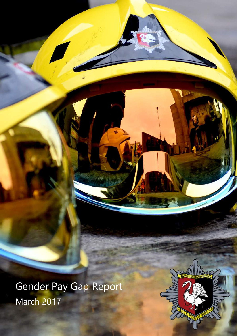Gender Pay Gap Report March 2017

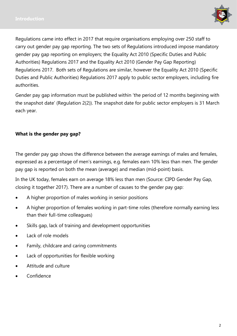

Regulations came into effect in 2017 that require organisations employing over 250 staff to carry out gender pay gap reporting. The two sets of Regulations introduced impose mandatory gender pay gap reporting on employers; the Equality Act 2010 (Specific Duties and Public Authorities) Regulations 2017 and the Equality Act 2010 (Gender Pay Gap Reporting) Regulations 2017. Both sets of Regulations are similar, however the Equality Act 2010 (Specific Duties and Public Authorities) Regulations 2017 apply to public sector employers, including fire authorities.

Gender pay gap information must be published within 'the period of 12 months beginning with the snapshot date' (Regulation 2(2)). The snapshot date for public sector employers is 31 March each year.

### **What is the gender pay gap?**

The gender pay gap shows the difference between the average earnings of males and females, expressed as a percentage of men's earnings, e.g. females earn 10% less than men. The gender pay gap is reported on both the mean (average) and median (mid-point) basis.

In the UK today, females earn on average 18% less than men (Source: CIPD Gender Pay Gap, closing it together 2017). There are a number of causes to the gender pay gap:

- A higher proportion of males working in senior positions
- A higher proportion of females working in part-time roles (therefore normally earning less than their full-time colleagues)
- Skills gap, lack of training and development opportunities
- Lack of role models
- Family, childcare and caring commitments
- Lack of opportunities for flexible working
- Attitude and culture
- Confidence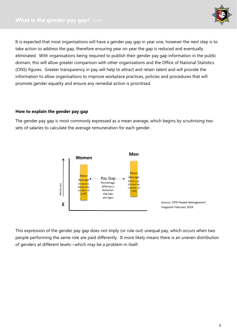

It is expected that most organisations will have a gender pay gap in year one, however the next step is to take action to address the gap, therefore ensuring year on year the gap is reduced and eventually eliminated. With organisations being required to publish their gender pay gap information in the public domain, this will allow greater comparison with other organisations and the Office of National Statistics (ONS) figures. Greater transparency in pay will help to attract and retain talent and will provide the information to allow organisations to improve workplace practices, policies and procedures that will promote gender equality and ensure any remedial action is prioritised.

#### **How to explain the gender pay gap**

The gender pay gap is most commonly expressed as a mean average, which begins by scrutinising two sets of salaries to calculate the average remuneration for each gender.



This expression of the gender pay gap does not imply (or rule out) unequal pay, which occurs when two people performing the same role are paid differently. It more likely means there is an uneven distribution of genders at different levels—which may be a problem in itself.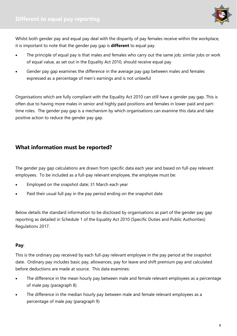

Whilst both gender pay and equal pay deal with the disparity of pay females receive within the workplace, it is important to note that the gender pay gap is **different** to equal pay.

- The principle of equal pay is that males and females who carry out the same job, similar jobs or work of equal value, as set out in the Equality Act 2010, should receive equal pay
- Gender pay gap examines the difference in the average pay gap between males and females expressed as a percentage of men's earnings and is not unlawful

Organisations which are fully compliant with the Equality Act 2010 can still have a gender pay gap. This is often due to having more males in senior and highly paid positions and females in lower paid and parttime roles. The gender pay gap is a mechanism by which organisations can examine this data and take positive action to reduce the gender pay gap.

# **What information must be reported?**

The gender pay gap calculations are drawn from specific data each year and based on full-pay relevant employees. To be included as a full-pay relevant employee, the employee must be:

- Employed on the snapshot date; 31 March each year
- Paid their usual full pay in the pay period ending on the snapshot date

Below details the standard information to be disclosed by organisations as part of the gender pay gap reporting as detailed in Schedule 1 of the Equality Act 2010 (Specific Duties and Public Authorities) Regulations 2017.

### **Pay**:

This is the ordinary pay received by each full-pay relevant employee in the pay period at the snapshot date. Ordinary pay includes basic pay, allowances, pay for leave and shift premium pay and calculated before deductions are made at source. This data examines:

- The difference in the mean hourly pay between male and female relevant employees as a percentage of male pay (paragraph 8)
- The difference in the median hourly pay between male and female relevant employees as a percentage of male pay (paragraph 9)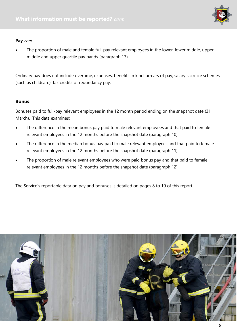

#### Pay cont.

 The proportion of male and female full-pay relevant employees in the lower, lower middle, upper middle and upper quartile pay bands (paragraph 13)

Ordinary pay does not include overtime, expenses, benefits in kind, arrears of pay, salary sacrifice schemes (such as childcare), tax credits or redundancy pay.

#### **Bonus**:

Bonuses paid to full-pay relevant employees in the 12 month period ending on the snapshot date (31 March). This data examines:

- The difference in the mean bonus pay paid to male relevant employees and that paid to female relevant employees in the 12 months before the snapshot date (paragraph 10)
- The difference in the median bonus pay paid to male relevant employees and that paid to female relevant employees in the 12 months before the snapshot date (paragraph 11)
- The proportion of male relevant employees who were paid bonus pay and that paid to female relevant employees in the 12 months before the snapshot date (paragraph 12)

The Service's reportable data on pay and bonuses is detailed on pages 8 to 10 of this report.

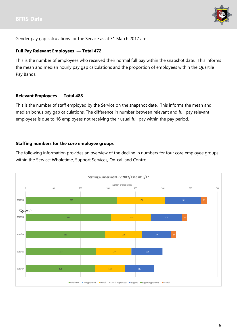

Gender pay gap calculations for the Service as at 31 March 2017 are:

#### **Full Pay Relevant Employees — Total 472**

This is the number of employees who received their normal full pay within the snapshot date. This informs the mean and median hourly pay gap calculations and the proportion of employees within the Quartile Pay Bands.

#### **Relevant Employees — Total 488**

This is the number of staff employed by the Service on the snapshot date. This informs the mean and median bonus pay gap calculations. The difference in number between relevant and full pay relevant employees is due to **16** employees not receiving their usual full pay within the pay period.

#### **Staffing numbers for the core employee groups**

The following information provides an overview of the decline in numbers for four core employee groups within the Service: Wholetime, Support Services, On-call and Control.

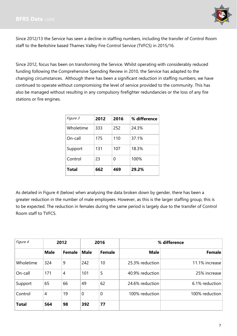

Since 2012/13 the Service has seen a decline in staffing numbers, including the transfer of Control Room staff to the Berkshire based Thames Valley Fire Control Service (TVFCS) in 2015/16.

Since 2012, focus has been on transforming the Service. Whilst operating with considerably reduced funding following the Comprehensive Spending Review in 2010, the Service has adapted to the changing circumstances. Although there has been a significant reduction in staffing numbers, we have continued to operate without compromising the level of service provided to the community. This has also be managed without resulting in any compulsory firefighter redundancies or the loss of any fire stations or fire engines.

| <i>Figure 3</i> | 2012 | 2016 | % difference |
|-----------------|------|------|--------------|
| Wholetime       | 333  | 252  | 24.3%        |
| On-call         | 175  | 110  | 37.1%        |
| Support         | 131  | 107  | 18.3%        |
| Control         | 23   | U    | 100%         |
| <b>Total</b>    | 662  | 469  | 29.2%        |

As detailed in Figure 4 (below) when analysing the data broken down by gender, there has been a greater reduction in the number of male employees. However, as this is the larger staffing group, this is to be expected. The reduction in females during the same period is largely due to the transfer of Control Room staff to TVFCS.

| Figure 4     | 2012        |               |             | 2016          | % difference    |                |
|--------------|-------------|---------------|-------------|---------------|-----------------|----------------|
|              | <b>Male</b> | <b>Female</b> | <b>Male</b> | <b>Female</b> | <b>Male</b>     | Female         |
| Wholetime    | 324         | 9             | 242         | 10            | 25.3% reduction | 11.1% increase |
| On-call      | 171         | 4             | 101         | 5             | 40.9% reduction | 25% increase   |
| Support      | 65          | 66            | 49          | 62            | 24.6% reduction | 6.1% reduction |
| Control      | 4           | 19            | 0           | 0             | 100% reduction  | 100% reduction |
| <b>Total</b> | 564         | 98            | 392         | 77            |                 |                |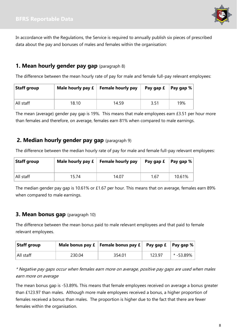

In accordance with the Regulations, the Service is required to annually publish six pieces of prescribed data about the pay and bonuses of males and females within the organisation:

## **1. Mean hourly gender pay gap** (paragraph 8)

The difference between the mean hourly rate of pay for male and female full-pay relevant employees:

| Staff group |       | Male hourly pay $f$ Female hourly pay | Pay gap $f$   Pay gap % |     |
|-------------|-------|---------------------------------------|-------------------------|-----|
| All staff   | 18.10 | 14.59                                 | 3.51                    | 19% |

The mean (average) gender pay gap is 19%. This means that male employees earn £3.51 per hour more than females and therefore, on average, females earn 81% when compared to male earnings.

### **2. Median hourly gender pay gap** (paragraph 9)

The difference between the median hourly rate of pay for male and female full-pay relevant employees:

| Staff group |       | Male hourly pay $f$ Female hourly pay | Pay gap $f \mid$ Pay gap % |        |
|-------------|-------|---------------------------------------|----------------------------|--------|
| All staff   | 15.74 | 14.07                                 | 1.67                       | 10.61% |

The median gender pay gap is 10.61% or £1.67 per hour. This means that on average, females earn 89% when compared to male earnings.

### **3. Mean bonus gap** (paragraph 10)

The difference between the mean bonus paid to male relevant employees and that paid to female relevant employees.

| Staff group |        | Male bonus pay $f$   Female bonus pay $f$   Pay gap $f$   Pay gap % |        |           |
|-------------|--------|---------------------------------------------------------------------|--------|-----------|
| All staff   | 230.04 | 354.01                                                              | 123.97 | * -53.89% |

\* Negative pay gaps occur when females earn more on average, positive pay gaps are used when males earn more on average

The mean bonus gap is -53.89%. This means that female employees received on average a bonus greater than £123.97 than males. Although more male employees received a bonus, a higher proportion of females received a bonus than males. The proportion is higher due to the fact that there are fewer females within the organisation.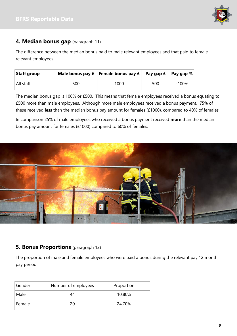

## **4. Median bonus gap** (paragraph 11)

The difference between the median bonus paid to male relevant employees and that paid to female relevant employees.

| <b>Staff group</b> |     | Male bonus pay $f \mid$ Female bonus pay $f \mid$ Pay gap $f \mid$ Pay gap % |     |         |
|--------------------|-----|------------------------------------------------------------------------------|-----|---------|
| All staff          | 500 | 1000                                                                         | 500 | $-100%$ |

The median bonus gap is 100% or £500. This means that female employees received a bonus equating to £500 more than male employees. Although more male employees received a bonus payment, 75% of these received **less** than the median bonus pay amount for females (£1000), compared to 40% of females.

In comparison 25% of male employees who received a bonus payment received **more** than the median bonus pay amount for females (£1000) compared to 60% of females.



### **5. Bonus Proportions** (paragraph 12)

The proportion of male and female employees who were paid a bonus during the relevant pay 12 month pay period:

| Gender | Number of employees | Proportion |  |
|--------|---------------------|------------|--|
| Male   | 44                  | 10.80%     |  |
| Female | 5Ο                  | 24.70%     |  |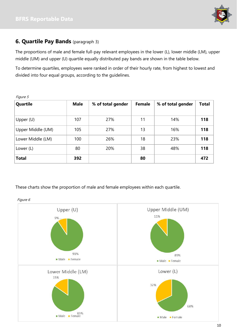

## **6. Quartile Pay Bands** (paragraph 3)

The proportions of male and female full-pay relevant employees in the lower (L), lower middle (LM), upper middle (UM) and upper (U) quartile equally distributed pay bands are shown in the table below.

To determine quartiles, employees were ranked in order of their hourly rate, from highest to lowest and divided into four equal groups, according to the guidelines.

| Quartile          | <b>Male</b> | % of total gender | <b>Female</b> | % of total gender | <b>Total</b> |
|-------------------|-------------|-------------------|---------------|-------------------|--------------|
| Upper $(U)$       | 107         | 27%               | 11            | 14%               | 118          |
| Upper Middle (UM) | 105         | 27%               | 13            | 16%               | 118          |
| Lower Middle (LM) | 100         | 26%               | 18            | 23%               | 118          |
| Lower (L)         | 80          | 20%               | 38            | 48%               | 118          |
| <b>Total</b>      | 392         |                   | 80            |                   | 472          |

These charts show the proportion of male and female employees within each quartile.



Figure 6

Figure 5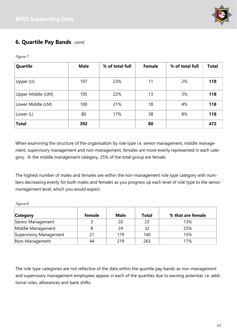

# **6. Quartile Pay Bands** cont.

| Quartile          | <b>Male</b> | % of total full | <b>Female</b> | % of total full | <b>Total</b> |
|-------------------|-------------|-----------------|---------------|-----------------|--------------|
| Upper $(U)$       | 107         | 23%             | 11            | 2%              | 118          |
| Upper Middle (UM) | 105         | 22%             | 13            | 3%              | 118          |
| Lower Middle (LM) | 100         | 21%             | 18            | 4%              | 118          |
| Lower (L)         | 80          | 17%             | 38            | 8%              | 118          |
| <b>Total</b>      | 392         |                 | 80            |                 | 472          |

When examining the structure of the organisation by role type i.e. senior management, middle management, supervisory management and non-management, females are more evenly represented in each category. In the middle management category, 25% of the total group are female.

The highest number of males and females are within the non-management role type category with numbers decreasing evenly for both males and females as you progress up each level of role type to the senior management level, which you would expect.

Figure 8

Figure 7

| <b>Category</b>        | <b>Female</b> | <b>Male</b> | <b>Total</b> | % that are female |
|------------------------|---------------|-------------|--------------|-------------------|
| Senior Management      |               | 20          | 23           | 13%               |
| Middle Management      |               | 24          | 32           | 25%               |
| Supervisory Management | 21            | 119         | 140          | 15%               |
| Non-Management         | 44            | 219         | 263          | 17%               |

The role type categories are not reflective of the data within the quartile pay bands as non-management and supervisory management employees appear in each of the quartiles due to earning potential, i.e. additional roles, allowances and bank shifts.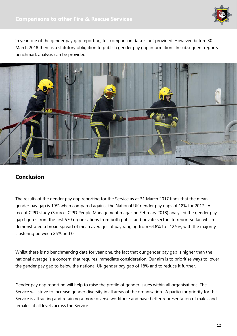

In year one of the gender pay gap reporting, full comparison data is not provided. However, before 30 March 2018 there is a statutory obligation to publish gender pay gap information. In subsequent reports benchmark analysis can be provided.



## **Conclusion**

The results of the gender pay gap reporting for the Service as at 31 March 2017 finds that the mean gender pay gap is 19% when compared against the National UK gender pay gaps of 18% for 2017. A recent CIPD study (Source: CIPD People Management magazine February 2018) analysed the gender pay gap figures from the first 570 organisations from both public and private sectors to report so far, which demonstrated a broad spread of mean averages of pay ranging from 64.8% to –12.9%, with the majority clustering between 25% and 0.

Whilst there is no benchmarking data for year one, the fact that our gender pay gap is higher than the national average is a concern that requires immediate consideration. Our aim is to prioritise ways to lower the gender pay gap to below the national UK gender pay gap of 18% and to reduce it further.

Gender pay gap reporting will help to raise the profile of gender issues within all organisations. The Service will strive to increase gender diversity in all areas of the organisation. A particular priority for this Service is attracting and retaining a more diverse workforce and have better representation of males and females at all levels across the Service.